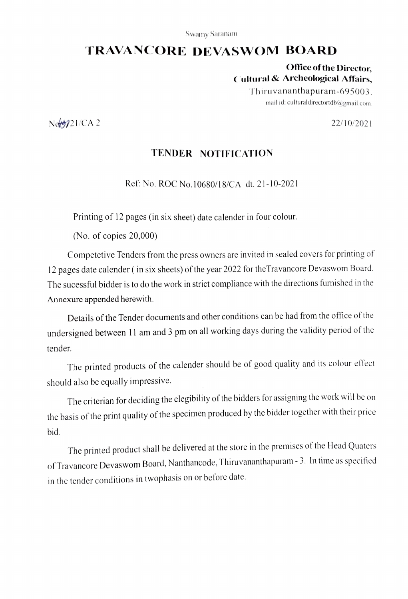### Swamy Saranam

# TRAVANCORE DEVASWOM BOARD

Office of the Director, Cultural & Archeological Affairs,

> Thiruvananthapuram-695003. mail id: culturaldirectortdb $@g$ gmail.com.

Note 22/10/2021

## TENDER NOTIFICATION

Ref: No. ROC No.10680/18/CA dt. 21-10-2021

Printing of 12 pages (in six sheet) date calender in four colour

(No. of copies 20,000)

Competetive Tenders from the press owners are invited in sealed covers for printing of 12 pages date calender ( in six sheets) of the year 2022 for the Travancore Devaswom Board The sucessful bidder is to do the work in strict compliance with the directions funished in the Annexure appended herewith.

Details of the Tender documents and other conditions can be had from the office of the undersigned between 11 am and 3 pm on all working days during the validity period of the tender.

The printed products of the calender should be of good quality and its colour effect should also be equally impressive.

The criterian for deciding the elegibility of the bidders for assigning the work will be on the basis of the print quality of the specimen produced by the bidder together with their price bid.

The printed product shall be delivered at the store in the premises of the Head Quaters of Travancore Devaswom Board, Nanthancode, Thiruvananthapuram -3. In time as specitied in the tender conditions in twophasis on or before date.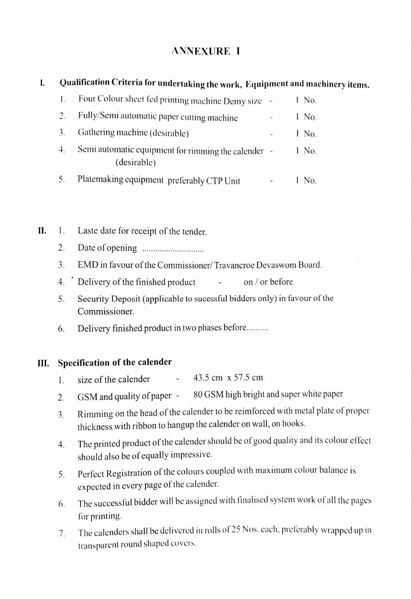# ANNEXURE I

#### Qualification Criteria for undertaking the work, Equipment and machinery items.  $\mathbf{I}$

| $\mathbf{1}$ . | Four Colour sheet fed printing machine Demy size                   |  | 1 No.   |
|----------------|--------------------------------------------------------------------|--|---------|
| $\mathcal{L}$  | Fully/Semi automatic paper cutting machine                         |  | 1 No.   |
| -3.            | Gathering machine (desirable)                                      |  | $1$ No. |
| 4.             | Semi automatic equipment for rimming the calender -<br>(desirable) |  | $1$ No. |
| 5 <sub>1</sub> | Platemaking equipment preferably CTP Unit                          |  | 1 No.   |

- I. 1. Laste date for receipt of the tender.
	- 2 Date of opening .. \*\*\*\*\*'\*°\*\*\*°°'\* \*\*\*
	- EMD in favour of the Commissioner/ Travancroe Devaswom Board.  $\overline{3}$ .
	- 4. Delivery of the finished product  $\qquad \qquad -$  on / or before
	- 5. Security Deposit (applicable to sucessful bidders only) in favour of the 5. Commissioner.
	- 6. Delivery finished product in two phases before.

# III. Specification of the calender

- 1. size of the calender  $-43.5$  cm  $\times$  57.5 cm
- 2. GSM and quality of paper 80 GSM high bright and super white paper
- Rimming on the head of the calender to be reimforced with metal plate of proper 3 thickness with ribbon to hangup the calender on wall, on hooks.
- The printed product of the calender should be of good quality and its colour effect 4. should also be of equally impressive.
- 5. Perfect Registration of the colours coupled with maximum colour balance is expected in every page of the calender.
- The successful bidder will be assigned with finalised system work of all the pages 6. for printing.
- The calenders shall be delivered in rolls of 25 Nos. cach, prelerably wrapped up in 1. transparent round shaped covers.